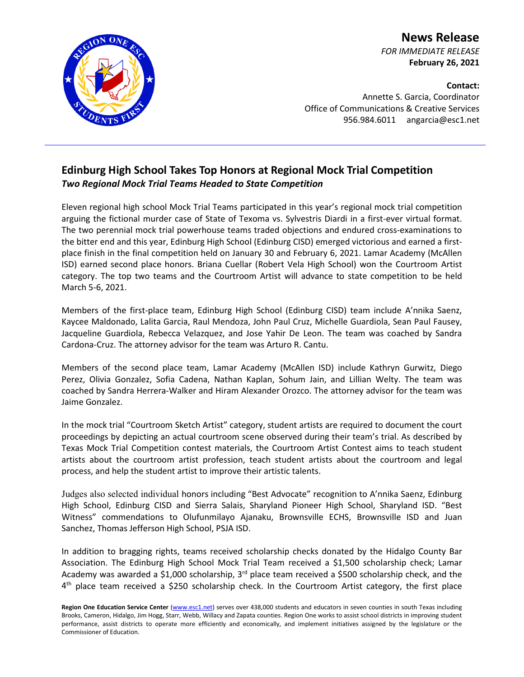

**News Release** *FOR IMMEDIATE RELEASE* **February 26, 2021**

**Contact:** Annette S. Garcia, Coordinator Office of Communications & Creative Services 956.984.6011 angarcia@esc1.net

## **Edinburg High School Takes Top Honors at Regional Mock Trial Competition** *Two Regional Mock Trial Teams Headed to State Competition*

Eleven regional high school Mock Trial Teams participated in this year's regional mock trial competition arguing the fictional murder case of State of Texoma vs. Sylvestris Diardi in a first-ever virtual format. The two perennial mock trial powerhouse teams traded objections and endured cross-examinations to the bitter end and this year, Edinburg High School (Edinburg CISD) emerged victorious and earned a firstplace finish in the final competition held on January 30 and February 6, 2021. Lamar Academy (McAllen ISD) earned second place honors. Briana Cuellar (Robert Vela High School) won the Courtroom Artist category. The top two teams and the Courtroom Artist will advance to state competition to be held March 5-6, 2021.

Members of the first-place team, Edinburg High School (Edinburg CISD) team include A'nnika Saenz, Kaycee Maldonado, Lalita Garcia, Raul Mendoza, John Paul Cruz, Michelle Guardiola, Sean Paul Fausey, Jacqueline Guardiola, Rebecca Velazquez, and Jose Yahir De Leon. The team was coached by Sandra Cardona-Cruz. The attorney advisor for the team was Arturo R. Cantu.

Members of the second place team, Lamar Academy (McAllen ISD) include Kathryn Gurwitz, Diego Perez, Olivia Gonzalez, Sofia Cadena, Nathan Kaplan, Sohum Jain, and Lillian Welty. The team was coached by Sandra Herrera-Walker and Hiram Alexander Orozco. The attorney advisor for the team was Jaime Gonzalez.

In the mock trial "Courtroom Sketch Artist" category, student artists are required to document the court proceedings by depicting an actual courtroom scene observed during their team's trial. As described by Texas Mock Trial Competition contest materials, the Courtroom Artist Contest aims to teach student artists about the courtroom artist profession, teach student artists about the courtroom and legal process, and help the student artist to improve their artistic talents.

Judges also selected individual honors including "Best Advocate" recognition to A'nnika Saenz, Edinburg High School, Edinburg CISD and Sierra Salais, Sharyland Pioneer High School, Sharyland ISD. "Best Witness" commendations to Olufunmilayo Ajanaku, Brownsville ECHS, Brownsville ISD and Juan Sanchez, Thomas Jefferson High School, PSJA ISD.

In addition to bragging rights, teams received scholarship checks donated by the Hidalgo County Bar Association. The Edinburg High School Mock Trial Team received a \$1,500 scholarship check; Lamar Academy was awarded a \$1,000 scholarship,  $3<sup>rd</sup>$  place team received a \$500 scholarship check, and the 4<sup>th</sup> place team received a \$250 scholarship check. In the Courtroom Artist category, the first place

Region One Education Service Center [\(www.esc1.net\)](http://www.esc1.net/) serves over 438,000 students and educators in seven counties in south Texas including Brooks, Cameron, Hidalgo, Jim Hogg, Starr, Webb, Willacy and Zapata counties. Region One works to assist school districts in improving student performance, assist districts to operate more efficiently and economically, and implement initiatives assigned by the legislature or the Commissioner of Education.